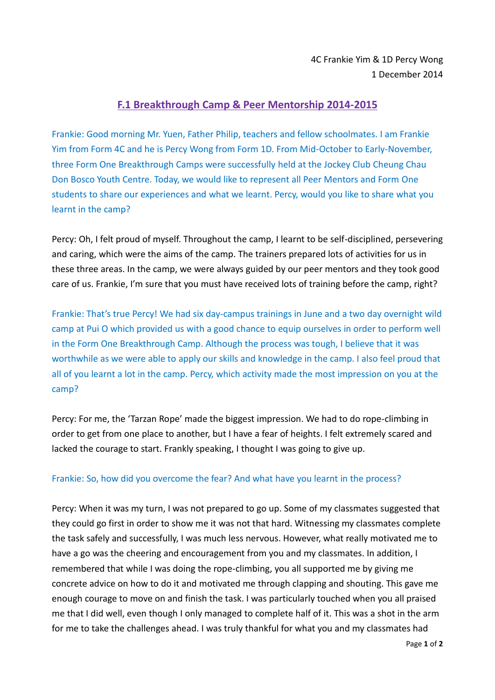## **F.1 Breakthrough Camp & Peer Mentorship 2014-2015**

Frankie: Good morning Mr. Yuen, Father Philip, teachers and fellow schoolmates. I am Frankie Yim from Form 4C and he is Percy Wong from Form 1D. From Mid-October to Early-November, three Form One Breakthrough Camps were successfully held at the Jockey Club Cheung Chau Don Bosco Youth Centre. Today, we would like to represent all Peer Mentors and Form One students to share our experiences and what we learnt. Percy, would you like to share what you learnt in the camp?

Percy: Oh, I felt proud of myself. Throughout the camp, I learnt to be self-disciplined, persevering and caring, which were the aims of the camp. The trainers prepared lots of activities for us in these three areas. In the camp, we were always guided by our peer mentors and they took good care of us. Frankie, I'm sure that you must have received lots of training before the camp, right?

Frankie: That's true Percy! We had six day-campus trainings in June and a two day overnight wild camp at Pui O which provided us with a good chance to equip ourselves in order to perform well in the Form One Breakthrough Camp. Although the process was tough, I believe that it was worthwhile as we were able to apply our skills and knowledge in the camp. I also feel proud that all of you learnt a lot in the camp. Percy, which activity made the most impression on you at the camp?

Percy: For me, the 'Tarzan Rope' made the biggest impression. We had to do rope-climbing in order to get from one place to another, but I have a fear of heights. I felt extremely scared and lacked the courage to start. Frankly speaking, I thought I was going to give up.

## Frankie: So, how did you overcome the fear? And what have you learnt in the process?

Percy: When it was my turn, I was not prepared to go up. Some of my classmates suggested that they could go first in order to show me it was not that hard. Witnessing my classmates complete the task safely and successfully, I was much less nervous. However, what really motivated me to have a go was the cheering and encouragement from you and my classmates. In addition, I remembered that while I was doing the rope-climbing, you all supported me by giving me concrete advice on how to do it and motivated me through clapping and shouting. This gave me enough courage to move on and finish the task. I was particularly touched when you all praised me that I did well, even though I only managed to complete half of it. This was a shot in the arm for me to take the challenges ahead. I was truly thankful for what you and my classmates had